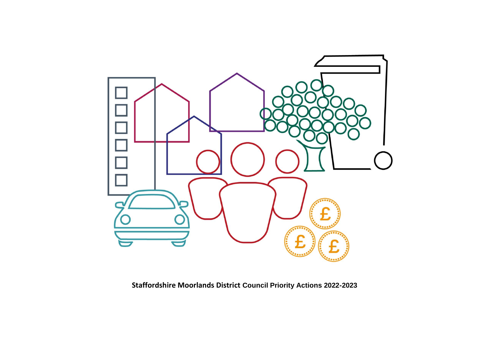

**Staffordshire Moorlands District Council Priority Actions 2022-2023**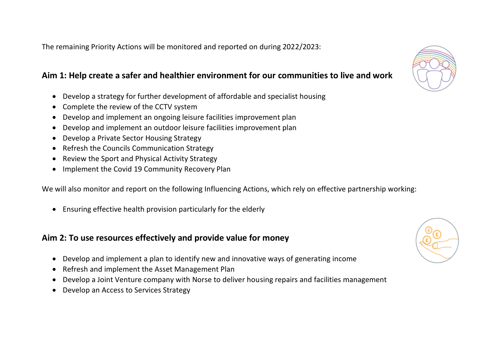The remaining Priority Actions will be monitored and reported on during 2022/2023:

## **Aim 1: Help create a safer and healthier environment for our communities to live and work**

- Develop a strategy for further development of affordable and specialist housing
- Complete the review of the CCTV system
- Develop and implement an ongoing leisure facilities improvement plan
- Develop and implement an outdoor leisure facilities improvement plan
- Develop a Private Sector Housing Strategy
- Refresh the Councils Communication Strategy
- Review the Sport and Physical Activity Strategy
- Implement the Covid 19 Community Recovery Plan

We will also monitor and report on the following Influencing Actions, which rely on effective partnership working:

• Ensuring effective health provision particularly for the elderly

## **Aim 2: To use resources effectively and provide value for money**

- Develop and implement a plan to identify new and innovative ways of generating income
- Refresh and implement the Asset Management Plan
- Develop a Joint Venture company with Norse to deliver housing repairs and facilities management
- Develop an Access to Services Strategy



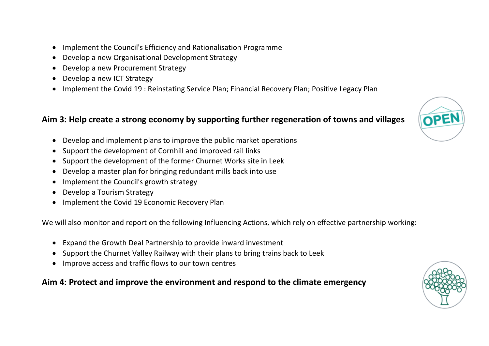- Implement the Council's Efficiency and Rationalisation Programme
- Develop a new Organisational Development Strategy
- Develop a new Procurement Strategy
- Develop a new ICT Strategy
- Implement the Covid 19 : Reinstating Service Plan; Financial Recovery Plan; Positive Legacy Plan

## **Aim 3: Help create a strong economy by supporting further regeneration of towns and villages**

OPEN

- Develop and implement plans to improve the public market operations
- Support the development of Cornhill and improved rail links
- Support the development of the former Churnet Works site in Leek
- Develop a master plan for bringing redundant mills back into use
- Implement the Council's growth strategy
- Develop a Tourism Strategy
- Implement the Covid 19 Economic Recovery Plan

We will also monitor and report on the following Influencing Actions, which rely on effective partnership working:

- Expand the Growth Deal Partnership to provide inward investment
- Support the Churnet Valley Railway with their plans to bring trains back to Leek
- Improve access and traffic flows to our town centres

## **Aim 4: Protect and improve the environment and respond to the climate emergency**